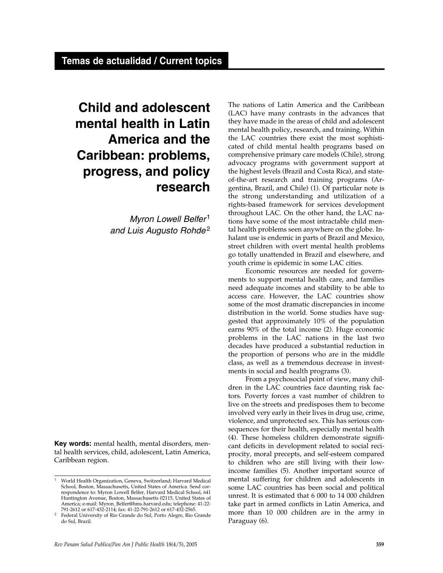# **Child and adolescent mental health in Latin America and the Caribbean: problems, progress, and policy research**

Myron Lowell Belfer<sup>1</sup> and Luis Augusto Rohde<sup>2</sup>

**Key words:** mental health, mental disorders, mental health services, child, adolescent, Latin America, Caribbean region.

The nations of Latin America and the Caribbean (LAC) have many contrasts in the advances that they have made in the areas of child and adolescent mental health policy, research, and training. Within the LAC countries there exist the most sophisticated of child mental health programs based on comprehensive primary care models (Chile), strong advocacy programs with government support at the highest levels (Brazil and Costa Rica), and stateof-the-art research and training programs (Argentina, Brazil, and Chile) (1). Of particular note is the strong understanding and utilization of a rights-based framework for services development throughout LAC. On the other hand, the LAC nations have some of the most intractable child mental health problems seen anywhere on the globe. Inhalant use is endemic in parts of Brazil and Mexico, street children with overt mental health problems go totally unattended in Brazil and elsewhere, and youth crime is epidemic in some LAC cities.

Economic resources are needed for governments to support mental health care, and families need adequate incomes and stability to be able to access care. However, the LAC countries show some of the most dramatic discrepancies in income distribution in the world. Some studies have suggested that approximately 10% of the population earns 90% of the total income (2). Huge economic problems in the LAC nations in the last two decades have produced a substantial reduction in the proportion of persons who are in the middle class, as well as a tremendous decrease in investments in social and health programs (3).

From a psychosocial point of view, many children in the LAC countries face daunting risk factors. Poverty forces a vast number of children to live on the streets and predisposes them to become involved very early in their lives in drug use, crime, violence, and unprotected sex. This has serious consequences for their health, especially mental health (4). These homeless children demonstrate significant deficits in development related to social reciprocity, moral precepts, and self-esteem compared to children who are still living with their lowincome families (5). Another important source of mental suffering for children and adolescents in some LAC countries has been social and political unrest. It is estimated that 6 000 to 14 000 children take part in armed conflicts in Latin America, and more than 10 000 children are in the army in Paraguay (6).

<sup>1</sup> World Health Organization, Geneva, Switzerland; Harvard Medical School, Boston, Massachusetts, United States of America. Send correspondence to: Myron Lowell Belfer, Harvard Medical School, 641 Huntington Avenue, Boston, Massachusetts 02115, United States of America; e-mail: Myron\_Belfer@hms.harvard.edu; telephone: 41-22-

<sup>&</sup>lt;sup>2</sup> Federal University of Rio Grande do Sul, Porto Alegre, Rio Grande do Sul, Brazil.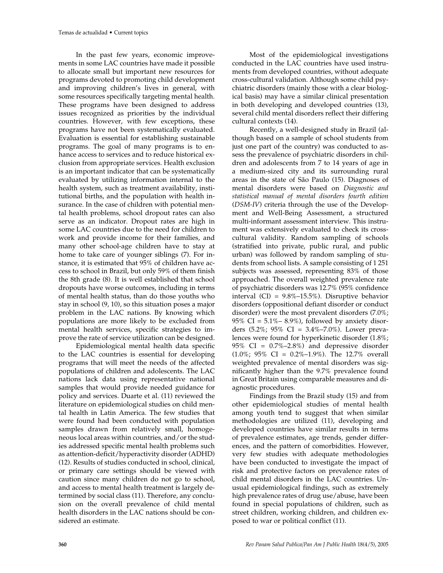In the past few years, economic improvements in some LAC countries have made it possible to allocate small but important new resources for programs devoted to promoting child development and improving children's lives in general, with some resources specifically targeting mental health. These programs have been designed to address issues recognized as priorities by the individual countries. However, with few exceptions, these programs have not been systematically evaluated. Evaluation is essential for establishing sustainable programs. The goal of many programs is to enhance access to services and to reduce historical exclusion from appropriate services. Health exclusion is an important indicator that can be systematically evaluated by utilizing information internal to the health system, such as treatment availability, institutional births, and the population with health insurance. In the case of children with potential mental health problems, school dropout rates can also serve as an indicator. Dropout rates are high in some LAC countries due to the need for children to work and provide income for their families, and many other school-age children have to stay at home to take care of younger siblings (7). For instance, it is estimated that 95% of children have access to school in Brazil, but only 59% of them finish the 8th grade (8). It is well established that school dropouts have worse outcomes, including in terms of mental health status, than do those youths who stay in school (9, 10), so this situation poses a major problem in the LAC nations. By knowing which populations are more likely to be excluded from mental health services, specific strategies to improve the rate of service utilization can be designed.

Epidemiological mental health data specific to the LAC countries is essential for developing programs that will meet the needs of the affected populations of children and adolescents. The LAC nations lack data using representative national samples that would provide needed guidance for policy and services. Duarte et al. (11) reviewed the literature on epidemiological studies on child mental health in Latin America. The few studies that were found had been conducted with population samples drawn from relatively small, homogeneous local areas within countries, and/or the studies addressed specific mental health problems such as attention-deficit/hyperactivity disorder (ADHD) (12). Results of studies conducted in school, clinical, or primary care settings should be viewed with caution since many children do not go to school, and access to mental health treatment is largely determined by social class (11). Therefore, any conclusion on the overall prevalence of child mental health disorders in the LAC nations should be considered an estimate.

Most of the epidemiological investigations conducted in the LAC countries have used instruments from developed countries, without adequate cross-cultural validation. Although some child psychiatric disorders (mainly those with a clear biological basis) may have a similar clinical presentation in both developing and developed countries (13), several child mental disorders reflect their differing cultural contexts (14).

Recently, a well-designed study in Brazil (although based on a sample of school students from just one part of the country) was conducted to assess the prevalence of psychiatric disorders in children and adolescents from 7 to 14 years of age in a medium-sized city and its surrounding rural areas in the state of São Paulo (15). Diagnoses of mental disorders were based on *Diagnostic and statistical manual of mental disorders fourth edition* (*DSM-IV*) criteria through the use of the Development and Well-Being Assessment, a structured multi-informant assessment interview. This instrument was extensively evaluated to check its crosscultural validity. Random sampling of schools (stratified into private, public rural, and public urban) was followed by random sampling of students from school lists. A sample consisting of 1 251 subjects was assessed, representing 83% of those approached. The overall weighted prevalence rate of psychiatric disorders was 12.7% (95% confidence interval (CI) = 9.8%–15.5%). Disruptive behavior disorders (oppositional defiant disorder or conduct disorder) were the most prevalent disorders (7.0%; 95% CI =  $5.1\% - 8.9\%$ ), followed by anxiety disorders (5.2%; 95% CI = 3.4%–7.0%). Lower prevalences were found for hyperkinetic disorder (1.8%; 95% CI = 0.7%–2.8%) and depressive disorder  $(1.0\%; 95\% \text{ CI} = 0.2\% - 1.9\%).$  The 12.7% overall weighted prevalence of mental disorders was significantly higher than the 9.7% prevalence found in Great Britain using comparable measures and diagnostic procedures.

Findings from the Brazil study (15) and from other epidemiological studies of mental health among youth tend to suggest that when similar methodologies are utilized (11), developing and developed countries have similar results in terms of prevalence estimates, age trends, gender differences, and the pattern of comorbidities. However, very few studies with adequate methodologies have been conducted to investigate the impact of risk and protective factors on prevalence rates of child mental disorders in the LAC countries. Unusual epidemiological findings, such as extremely high prevalence rates of drug use/abuse, have been found in special populations of children, such as street children, working children, and children exposed to war or political conflict (11).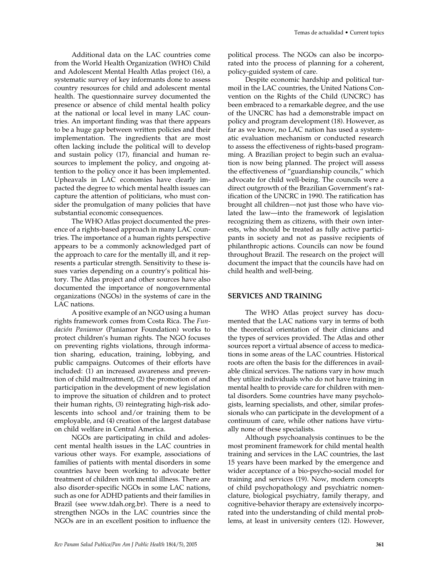Additional data on the LAC countries come from the World Health Organization (WHO) Child and Adolescent Mental Health Atlas project (16), a systematic survey of key informants done to assess country resources for child and adolescent mental health. The questionnaire survey documented the presence or absence of child mental health policy at the national or local level in many LAC countries. An important finding was that there appears to be a huge gap between written policies and their implementation. The ingredients that are most often lacking include the political will to develop and sustain policy (17), financial and human resources to implement the policy, and ongoing attention to the policy once it has been implemented. Upheavals in LAC economies have clearly impacted the degree to which mental health issues can capture the attention of politicians, who must consider the promulgation of many policies that have substantial economic consequences.

The WHO Atlas project documented the presence of a rights-based approach in many LAC countries. The importance of a human rights perspective appears to be a commonly acknowledged part of the approach to care for the mentally ill, and it represents a particular strength. Sensitivity to these issues varies depending on a country's political history. The Atlas project and other sources have also documented the importance of nongovernmental organizations (NGOs) in the systems of care in the LAC nations.

A positive example of an NGO using a human rights framework comes from Costa Rica. The *Fundación Paniamor* (Paniamor Foundation) works to protect children's human rights. The NGO focuses on preventing rights violations, through information sharing, education, training, lobbying, and public campaigns. Outcomes of their efforts have included: (1) an increased awareness and prevention of child maltreatment, (2) the promotion of and participation in the development of new legislation to improve the situation of children and to protect their human rights, (3) reintegrating high-risk adolescents into school and/or training them to be employable, and (4) creation of the largest database on child welfare in Central America.

NGOs are participating in child and adolescent mental health issues in the LAC countries in various other ways. For example, associations of families of patients with mental disorders in some countries have been working to advocate better treatment of children with mental illness. There are also disorder-specific NGOs in some LAC nations, such as one for ADHD patients and their families in Brazil (see www.tdah.org.br). There is a need to strengthen NGOs in the LAC countries since the NGOs are in an excellent position to influence the

political process. The NGOs can also be incorporated into the process of planning for a coherent, policy-guided system of care.

Despite economic hardship and political turmoil in the LAC countries, the United Nations Convention on the Rights of the Child (UNCRC) has been embraced to a remarkable degree, and the use of the UNCRC has had a demonstrable impact on policy and program development (18). However, as far as we know, no LAC nation has used a systematic evaluation mechanism or conducted research to assess the effectiveness of rights-based programming. A Brazilian project to begin such an evaluation is now being planned. The project will assess the effectiveness of "guardianship councils," which advocate for child well-being. The councils were a direct outgrowth of the Brazilian Government's ratification of the UNCRC in 1990. The ratification has brought all children—not just those who have violated the law—into the framework of legislation recognizing them as citizens, with their own interests, who should be treated as fully active participants in society and not as passive recipients of philanthropic actions. Councils can now be found throughout Brazil. The research on the project will document the impact that the councils have had on child health and well-being.

#### **SERVICES AND TRAINING**

The WHO Atlas project survey has documented that the LAC nations vary in terms of both the theoretical orientation of their clinicians and the types of services provided. The Atlas and other sources report a virtual absence of access to medications in some areas of the LAC countries. Historical roots are often the basis for the differences in available clinical services. The nations vary in how much they utilize individuals who do not have training in mental health to provide care for children with mental disorders. Some countries have many psychologists, learning specialists, and other, similar professionals who can participate in the development of a continuum of care, while other nations have virtually none of these specialists.

Although psychoanalysis continues to be the most prominent framework for child mental health training and services in the LAC countries, the last 15 years have been marked by the emergence and wider acceptance of a bio-psycho-social model for training and services (19). Now, modern concepts of child psychopathology and psychiatric nomenclature, biological psychiatry, family therapy, and cognitive-behavior therapy are extensively incorporated into the understanding of child mental problems, at least in university centers (12). However,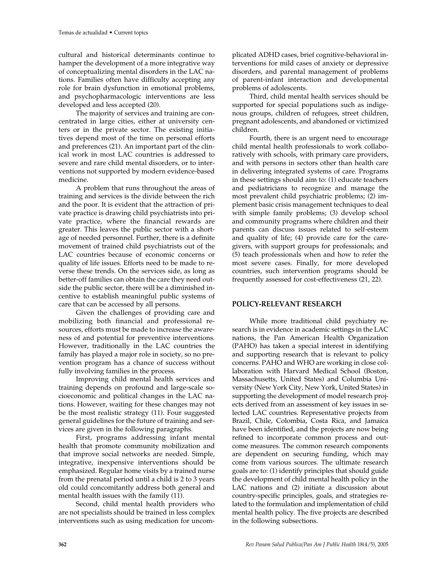cultural and historical determinants continue to hamper the development of a more integrative way of conceptualizing mental disorders in the LAC nations. Families often have difficulty accepting any role for brain dysfunction in emotional problems, and psychopharmacologic interventions are less developed and less accepted (20).

The majority of services and training are concentrated in large cities, either at university centers or in the private sector. The existing initiatives depend most of the time on personal efforts and preferences (21). An important part of the clinical work in most LAC countries is addressed to severe and rare child mental disorders, or to interventions not supported by modern evidence-based medicine.

A problem that runs throughout the areas of training and services is the divide between the rich and the poor. It is evident that the attraction of private practice is drawing child psychiatrists into private practice, where the financial rewards are greater. This leaves the public sector with a shortage of needed personnel. Further, there is a definite movement of trained child psychiatrists out of the LAC countries because of economic concerns or quality of life issues. Efforts need to be made to reverse these trends. On the services side, as long as better-off families can obtain the care they need outside the public sector, there will be a diminished incentive to establish meaningful public systems of care that can be accessed by all persons.

Given the challenges of providing care and mobilizing both financial and professional resources, efforts must be made to increase the awareness of and potential for preventive interventions. However, traditionally in the LAC countries the family has played a major role in society, so no prevention program has a chance of success without fully involving families in the process.

Improving child mental health services and training depends on profound and large-scale socioeconomic and political changes in the LAC nations. However, waiting for these changes may not be the most realistic strategy (11). Four suggested general guidelines for the future of training and services are given in the following paragraphs.

First, programs addressing infant mental health that promote community mobilization and that improve social networks are needed. Simple, integrative, inexpensive interventions should be emphasized. Regular home visits by a trained nurse from the prenatal period until a child is 2 to 3 years old could concomitantly address both general and mental health issues with the family (11).

Second, child mental health providers who are not specialists should be trained in less complex interventions such as using medication for uncom-

plicated ADHD cases, brief cognitive-behavioral interventions for mild cases of anxiety or depressive disorders, and parental management of problems of parent-infant interaction and developmental problems of adolescents.

Third, child mental health services should be supported for special populations such as indigenous groups, children of refugees, street children, pregnant adolescents, and abandoned or victimized children.

Fourth, there is an urgent need to encourage child mental health professionals to work collaboratively with schools, with primary care providers, and with persons in sectors other than health care in delivering integrated systems of care. Programs in these settings should aim to: (1) educate teachers and pediatricians to recognize and manage the most prevalent child psychiatric problems; (2) implement basic crisis management techniques to deal with simple family problems; (3) develop school and community programs where children and their parents can discuss issues related to self-esteem and quality of life; (4) provide care for the caregivers, with support groups for professionals; and (5) teach professionals when and how to refer the most severe cases. Finally, for more developed countries, such intervention programs should be frequently assessed for cost-effectiveness (21, 22).

# **POLICY-RELEVANT RESEARCH**

While more traditional child psychiatry research is in evidence in academic settings in the LAC nations, the Pan American Health Organization (PAHO) has taken a special interest in identifying and supporting research that is relevant to policy concerns. PAHO and WHO are working in close collaboration with Harvard Medical School (Boston, Massachusetts, United States) and Columbia University (New York City, New York, United States) in supporting the development of model research projects derived from an assessment of key issues in selected LAC countries. Representative projects from Brazil, Chile, Colombia, Costa Rica, and Jamaica have been identified, and the projects are now being refined to incorporate common process and outcome measures. The common research components are dependent on securing funding, which may come from various sources. The ultimate research goals are to: (1) identify principles that should guide the development of child mental health policy in the LAC nations and (2) initiate a discussion about country-specific principles, goals, and strategies related to the formulation and implementation of child mental health policy. The five projects are described in the following subsections.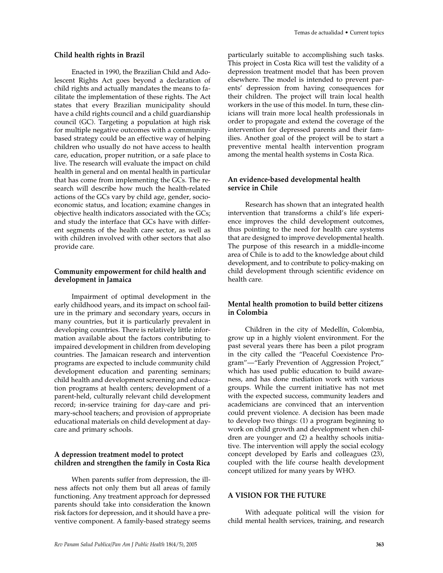#### **Child health rights in Brazil**

Enacted in 1990, the Brazilian Child and Adolescent Rights Act goes beyond a declaration of child rights and actually mandates the means to facilitate the implementation of these rights. The Act states that every Brazilian municipality should have a child rights council and a child guardianship council (GC). Targeting a population at high risk for multiple negative outcomes with a communitybased strategy could be an effective way of helping children who usually do not have access to health care, education, proper nutrition, or a safe place to live. The research will evaluate the impact on child health in general and on mental health in particular that has come from implementing the GCs. The research will describe how much the health-related actions of the GCs vary by child age, gender, socioeconomic status, and location; examine changes in objective health indicators associated with the GCs; and study the interface that GCs have with different segments of the health care sector, as well as with children involved with other sectors that also provide care.

#### **Community empowerment for child health and development in Jamaica**

Impairment of optimal development in the early childhood years, and its impact on school failure in the primary and secondary years, occurs in many countries, but it is particularly prevalent in developing countries. There is relatively little information available about the factors contributing to impaired development in children from developing countries. The Jamaican research and intervention programs are expected to include community child development education and parenting seminars; child health and development screening and education programs at health centers; development of a parent-held, culturally relevant child development record; in-service training for day-care and primary-school teachers; and provision of appropriate educational materials on child development at daycare and primary schools.

#### **A depression treatment model to protect children and strengthen the family in Costa Rica**

When parents suffer from depression, the illness affects not only them but all areas of family functioning. Any treatment approach for depressed parents should take into consideration the known risk factors for depression, and it should have a preventive component. A family-based strategy seems particularly suitable to accomplishing such tasks. This project in Costa Rica will test the validity of a depression treatment model that has been proven elsewhere. The model is intended to prevent parents' depression from having consequences for their children. The project will train local health workers in the use of this model. In turn, these clinicians will train more local health professionals in order to propagate and extend the coverage of the intervention for depressed parents and their families. Another goal of the project will be to start a preventive mental health intervention program among the mental health systems in Costa Rica.

### **An evidence-based developmental health service in Chile**

Research has shown that an integrated health intervention that transforms a child's life experience improves the child development outcomes, thus pointing to the need for health care systems that are designed to improve developmental health. The purpose of this research in a middle-income area of Chile is to add to the knowledge about child development, and to contribute to policy-making on child development through scientific evidence on health care.

## **Mental health promotion to build better citizens in Colombia**

Children in the city of Medellín, Colombia, grow up in a highly violent environment. For the past several years there has been a pilot program in the city called the "Peaceful Coexistence Program"—"Early Prevention of Aggression Project," which has used public education to build awareness, and has done mediation work with various groups. While the current initiative has not met with the expected success, community leaders and academicians are convinced that an intervention could prevent violence. A decision has been made to develop two things: (1) a program beginning to work on child growth and development when children are younger and (2) a healthy schools initiative. The intervention will apply the social ecology concept developed by Earls and colleagues (23), coupled with the life course health development concept utilized for many years by WHO.

# **A VISION FOR THE FUTURE**

With adequate political will the vision for child mental health services, training, and research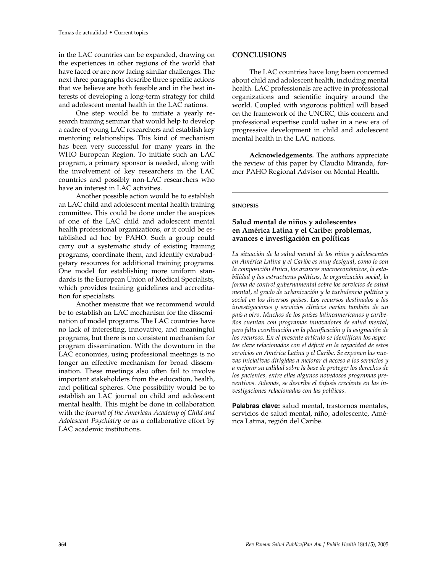in the LAC countries can be expanded, drawing on the experiences in other regions of the world that have faced or are now facing similar challenges. The next three paragraphs describe three specific actions that we believe are both feasible and in the best interests of developing a long-term strategy for child and adolescent mental health in the LAC nations.

One step would be to initiate a yearly research training seminar that would help to develop a cadre of young LAC researchers and establish key mentoring relationships. This kind of mechanism has been very successful for many years in the WHO European Region. To initiate such an LAC program, a primary sponsor is needed, along with the involvement of key researchers in the LAC countries and possibly non-LAC researchers who have an interest in LAC activities.

Another possible action would be to establish an LAC child and adolescent mental health training committee. This could be done under the auspices of one of the LAC child and adolescent mental health professional organizations, or it could be established ad hoc by PAHO. Such a group could carry out a systematic study of existing training programs, coordinate them, and identify extrabudgetary resources for additional training programs. One model for establishing more uniform standards is the European Union of Medical Specialists, which provides training guidelines and accreditation for specialists.

Another measure that we recommend would be to establish an LAC mechanism for the dissemination of model programs. The LAC countries have no lack of interesting, innovative, and meaningful programs, but there is no consistent mechanism for program dissemination. With the downturn in the LAC economies, using professional meetings is no longer an effective mechanism for broad dissemination. These meetings also often fail to involve important stakeholders from the education, health, and political spheres. One possibility would be to establish an LAC journal on child and adolescent mental health. This might be done in collaboration with the *Journal of the American Academy of Child and Adolescent Psychiatry* or as a collaborative effort by LAC academic institutions.

## **CONCLUSIONS**

The LAC countries have long been concerned about child and adolescent health, including mental health. LAC professionals are active in professional organizations and scientific inquiry around the world. Coupled with vigorous political will based on the framework of the UNCRC, this concern and professional expertise could usher in a new era of progressive development in child and adolescent mental health in the LAC nations.

**Acknowledgements.** The authors appreciate the review of this paper by Claudio Miranda, former PAHO Regional Advisor on Mental Health.

#### **SINOPSIS**

# **Salud mental de niños y adolescentes en América Latina y el Caribe: problemas, avances e investigación en políticas**

*La situación de la salud mental de los niños y adolescentes en América Latina y el Caribe es muy desigual, como lo son la composición étnica, los avances macroeconómicos, la estabilidad y las estructuras políticas, la organización social, la forma de control gubernamental sobre los servicios de salud mental, el grado de urbanización y la turbulencia política y social en los diversos países. Los recursos destinados a las investigaciones y servicios clínicos varían también de un país a otro. Muchos de los países latinoamericanos y caribeños cuentan con programas innovadores de salud mental, pero falta coordinación en la planificación y la asignación de los recursos. En el presente artículo se identifican los aspectos clave relacionados con el déficit en la capacidad de estos servicios en América Latina y el Caribe. Se exponen las nuevas iniciativas dirigidas a mejorar el acceso a los servicios y a mejorar su calidad sobre la base de proteger los derechos de los pacientes, entre ellas algunos novedosos programas preventivos. Además, se describe el énfasis creciente en las investigaciones relacionadas con las políticas.*

Palabras clave: salud mental, trastornos mentales, servicios de salud mental, niño, adolescente, América Latina, región del Caribe.